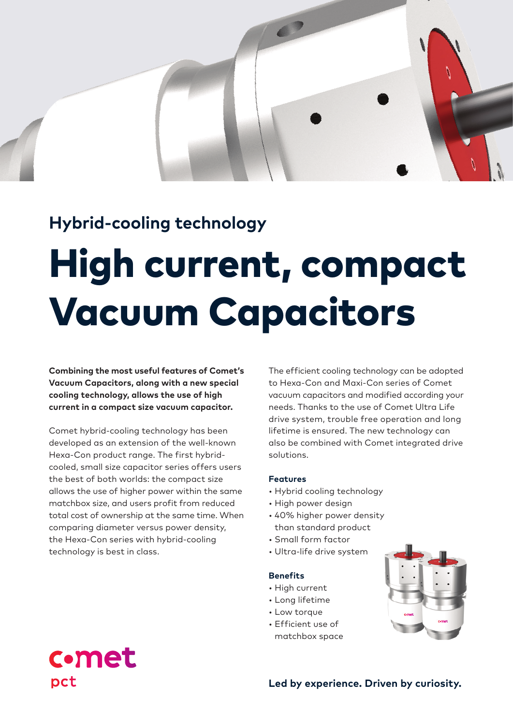## **Hybrid-cooling technology**

# High current, compact Vacuum Capacitors

**Combining the most useful features of Comet's Vacuum Capacitors, along with a new special cooling technology, allows the use of high current in a compact size vacuum capacitor.**

Comet hybrid-cooling technology has been developed as an extension of the well-known Hexa-Con product range. The first hybridcooled, small size capacitor series offers users the best of both worlds: the compact size allows the use of higher power within the same matchbox size, and users profit from reduced total cost of ownership at the same time. When comparing diameter versus power density, the Hexa-Con series with hybrid-cooling technology is best in class.

**comet** 

pct

The efficient cooling technology can be adopted to Hexa-Con and Maxi-Con series of Comet vacuum capacitors and modified according your needs. Thanks to the use of Comet Ultra Life drive system, trouble free operation and long lifetime is ensured. The new technology can also be combined with Comet integrated drive solutions.

### **Features**

- Hybrid cooling technology
- High power design
- 40% higher power density than standard product
- Small form factor
- Ultra-life drive system

#### **Benefits**

- High current
- Long lifetime
- Low torque
- Efficient use of matchbox space



## **Led by experience. Driven by curiosity.**